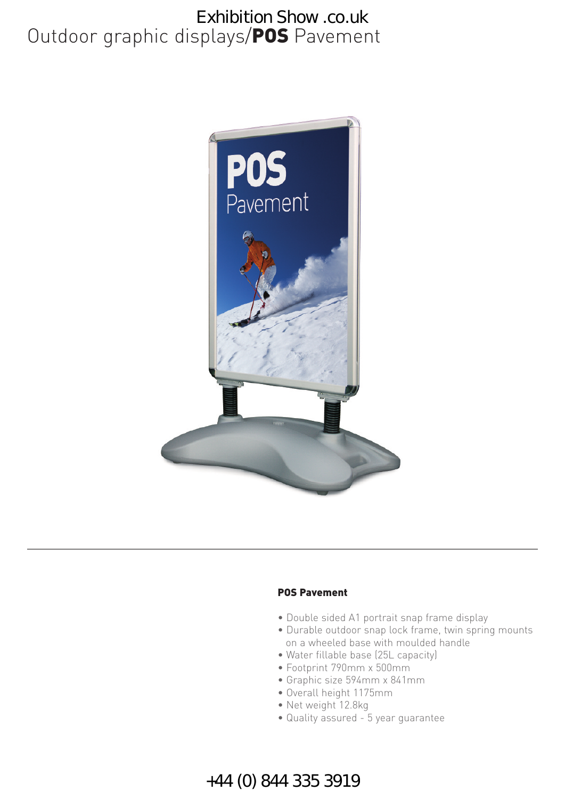## Outdoor graphic displays/**POS** Pavement Exhibition Show .co.uk



#### **POS Pavement**

- Double sided A1 portrait snap frame display
- Durable outdoor snap lock frame, twin spring mounts on a wheeled base with moulded handle
- Water fillable base (25L capacity)
- Footprint 790mm x 500mm
- Graphic size 594mm x 841mm
- Overall height 1175mm
- Net weight 12.8kg
- Quality assured 5 year guarantee

### +44 (0) 844 335 3919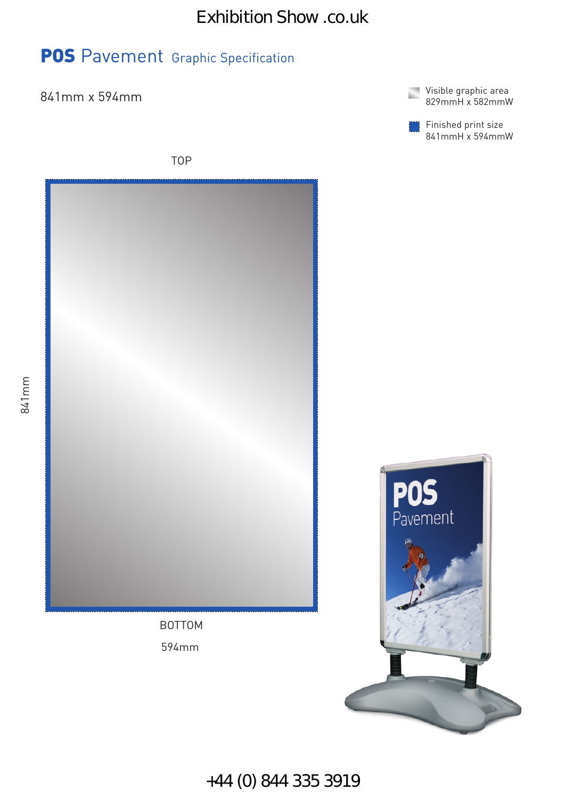## **POS** Pavement Graphic Specification



Finished print size 841mmH x 594mmW





841mm

+44 (0) 844 335 3919